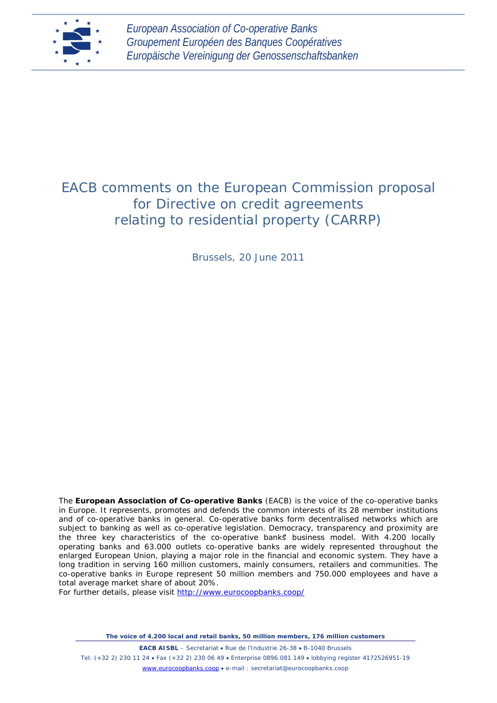

*European Association of Co-operative Banks Groupement Européen des Banques Coopératives Europäische Vereinigung der Genossenschaftsbanken*

# EACB comments on the European Commission proposal for Directive on credit agreements relating to residential property (CARRP)

Brussels, 20 June 2011

The **European Association of Co-operative Banks** (EACB) is the voice of the co-operative banks in Europe. It represents, promotes and defends the common interests of its 28 member institutions and of co-operative banks in general. Co-operative banks form decentralised networks which are subject to banking as well as co-operative legislation. Democracy, transparency and proximity are the three key characteristics of the co-operative banks business model. With 4.200 locally operating banks and 63.000 outlets co-operative banks are widely represented throughout the enlarged European Union, playing a major role in the financial and economic system. They have a long tradition in serving 160 million customers, mainly consumers, retailers and communities. The co-operative banks in Europe represent 50 million members and 750.000 employees and have a total average market share of about 20%.

For further details, please visit<http://www.eurocoopbanks.coop/>

*The voice of 4.200 local and retail banks, 50 million members, 176 million customers*

**EACB AISBL** – Secretariat • Rue de l'Industrie 26-38 • B-1040 Brussels

Tel: (+32 2) 230 11 24 • Fax (+32 2) 230 06 49 • Enterprise 0896.081.149 • lobbying register 4172526951-19 [www.eurocoopbanks.coop](http://www.eurocoopbanks.coop/) • e-mail : secretariat@eurocoopbanks.coop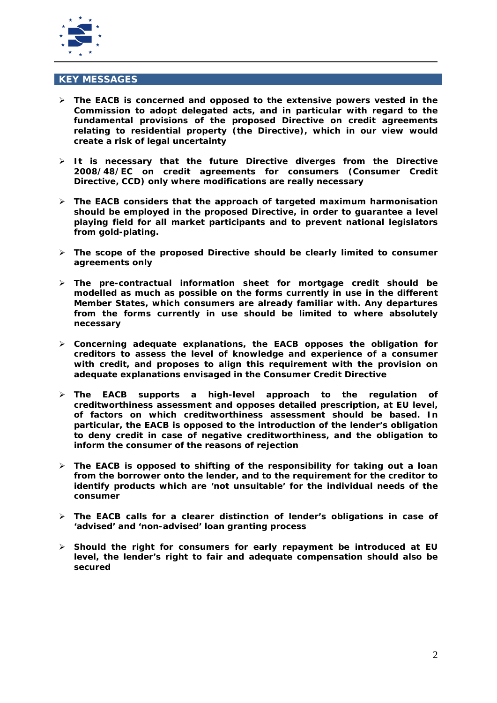

#### **KEY MESSAGES**

- **The EACB is concerned and opposed to the extensive powers vested in the Commission to adopt delegated acts, and in particular with regard to the fundamental provisions of the proposed Directive on credit agreements relating to residential property (the Directive), which in our view would create a risk of legal uncertainty**
- **It is necessary that the future Directive diverges from the Directive 2008/48/EC on credit agreements for consumers (Consumer Credit Directive, CCD) only where modifications are really necessary**
- **The EACB considers that the approach of targeted maximum harmonisation should be employed in the proposed Directive, in order to guarantee a level playing field for all market participants and to prevent national legislators from gold-plating.**
- **The scope of the proposed Directive should be clearly limited to consumer agreements only**
- **The pre-contractual information sheet for mortgage credit should be modelled as much as possible on the forms currently in use in the different Member States, which consumers are already familiar with. Any departures from the forms currently in use should be limited to where absolutely necessary**
- **Concerning adequate explanations, the EACB opposes the obligation for creditors to assess the level of knowledge and experience of a consumer with credit, and proposes to align this requirement with the provision on adequate explanations envisaged in the Consumer Credit Directive**
- **The EACB supports a high-level approach to the regulation of creditworthiness assessment and opposes detailed prescription, at EU level, of factors on which creditworthiness assessment should be based. In particular, the EACB is opposed to the introduction of the lender's obligation to deny credit in case of negative creditworthiness, and the obligation to inform the consumer of the reasons of rejection**
- **The EACB is opposed to shifting of the responsibility for taking out a loan from the borrower onto the lender, and to the requirement for the creditor to identify products which are 'not unsuitable' for the individual needs of the consumer**
- **The EACB calls for a clearer distinction of lender's obligations in case of 'advised' and 'non-advised' loan granting process**
- **Should the right for consumers for early repayment be introduced at EU level, the lender's right to fair and adequate compensation should also be secured**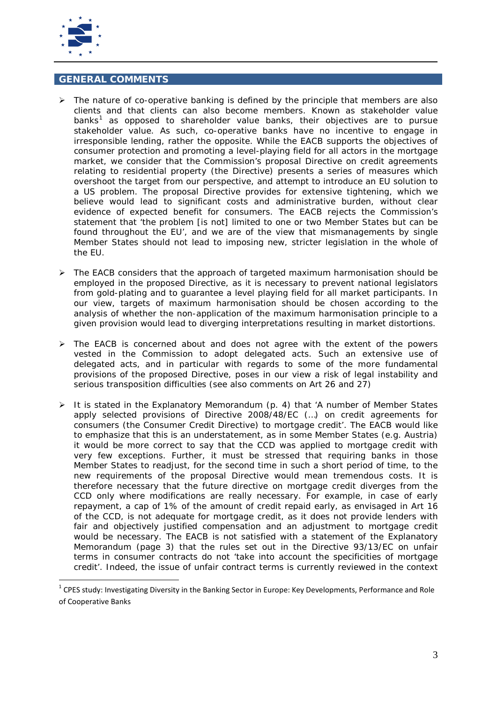

# **GENERAL COMMENTS**

- $\triangleright$  The nature of co-operative banking is defined by the principle that members are also clients and that clients can also become members. Known as stakeholder value banks<sup>[1](#page-2-0)</sup> as opposed to shareholder value banks, their objectives are to pursue stakeholder value. As such, co-operative banks have no incentive to engage in irresponsible lending, rather the opposite. While the EACB supports the objectives of consumer protection and promoting a level-playing field for all actors in the mortgage market, we consider that the Commission's proposal Directive on credit agreements relating to residential property (the Directive) presents a series of measures which overshoot the target from our perspective, and attempt to introduce an EU solution to a US problem. The proposal Directive provides for extensive tightening, which we believe would lead to significant costs and administrative burden, without clear evidence of expected benefit for consumers. The EACB rejects the Commission's statement that *'the problem* [is not] *limited to one or two Member States but can be found throughout the EU',* and we are of the view that mismanagements by single Member States should not lead to imposing new, stricter legislation in the whole of the EU.
- $\triangleright$  The EACB considers that the approach of targeted maximum harmonisation should be employed in the proposed Directive, as it is necessary to prevent national legislators from gold-plating and to guarantee a level playing field for all market participants. In our view, targets of maximum harmonisation should be chosen according to the analysis of whether the non-application of the maximum harmonisation principle to a given provision would lead to diverging interpretations resulting in market distortions.
- $\triangleright$  The EACB is concerned about and does not agree with the extent of the powers vested in the Commission to adopt delegated acts. Such an extensive use of delegated acts, and in particular with regards to some of the more fundamental provisions of the proposed Directive, poses in our view a risk of legal instability and serious transposition difficulties (see also comments on Art 26 and 27)
- It is stated in the Explanatory Memorandum (p. 4) that *'A number of Member States apply selected provisions of Directive 2008/48/EC (…) on credit agreements for consumers (the Consumer Credit Directive) to mortgage credit'.* The EACB would like to emphasize that this is an understatement, as in some Member States (e.g. Austria) it would be more correct to say that the CCD was applied to mortgage credit with very few exceptions. Further, it must be stressed that requiring banks in those Member States to readjust, for the second time in such a short period of time, to the new requirements of the proposal Directive would mean tremendous costs. It is therefore necessary that the future directive on mortgage credit diverges from the CCD only where modifications are really necessary. For example, in case of early repayment, a cap of 1% of the amount of credit repaid early, as envisaged in Art 16 of the CCD, is not adequate for mortgage credit, as it does not provide lenders with fair and objectively justified compensation and an adjustment to mortgage credit would be necessary. The EACB is not satisfied with a statement of the Explanatory Memorandum (page 3) that the rules set out in the Directive 93/13/EC on unfair terms in consumer contracts do not *'take into account the specificities of mortgage credit'.* Indeed, the issue of unfair contract terms is currently reviewed in the context

<span id="page-2-0"></span> $1$  CPES study: Investigating Diversity in the Banking Sector in Europe: Key Developments, Performance and Role of Cooperative Banks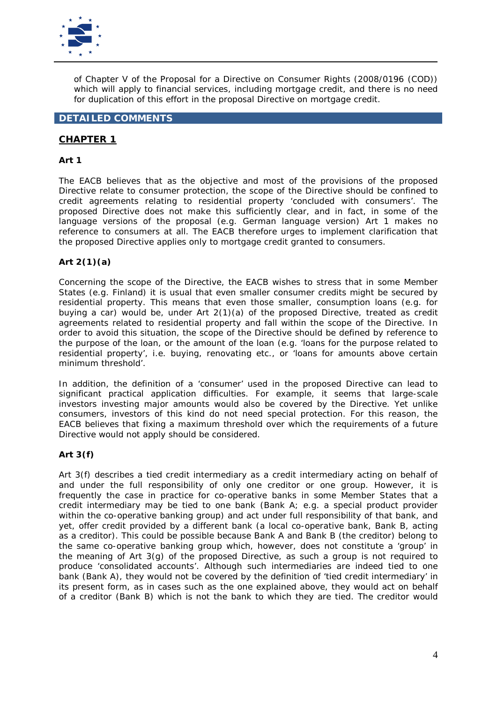

of Chapter V of the Proposal for a Directive on Consumer Rights (2008/0196 (COD)) which will apply to financial services, including mortgage credit, and there is no need for duplication of this effort in the proposal Directive on mortgage credit.

# **DETAILED COMMENTS**

# **CHAPTER 1**

#### **Art 1**

The EACB believes that as the objective and most of the provisions of the proposed Directive relate to consumer protection, the scope of the Directive should be confined to credit agreements relating to residential property '*concluded with consumers'*. The proposed Directive does not make this sufficiently clear, and in fact, in some of the language versions of the proposal (e.g. German language version) Art 1 makes no reference to consumers at all. The EACB therefore urges to implement clarification that the proposed Directive applies only to mortgage credit granted to consumers.

#### **Art 2(1)(a)**

Concerning the scope of the Directive, the EACB wishes to stress that in some Member States (e.g. Finland) it is usual that even smaller consumer credits might be secured by residential property. This means that even those smaller, consumption loans (e.g. for buying a car) would be, under Art  $2(1)(a)$  of the proposed Directive, treated as credit agreements related to residential property and fall within the scope of the Directive. In order to avoid this situation, the scope of the Directive should be defined by reference to the purpose of the loan, or the amount of the loan (e.g. '*loans for the purpose related to residential property'*, i.e. buying, renovating etc., or '*loans for amounts above certain minimum threshold'*.

In addition, the definition of a 'consumer' used in the proposed Directive can lead to significant practical application difficulties. For example, it seems that large-scale investors investing major amounts would also be covered by the Directive. Yet unlike consumers, investors of this kind do not need special protection. For this reason, the EACB believes that fixing a maximum threshold over which the requirements of a future Directive would not apply should be considered.

#### **Art 3(f)**

Art 3(f) describes a tied credit intermediary as a credit intermediary acting on behalf of and under the full responsibility of only one creditor or one group. However, it is frequently the case in practice for co-operative banks in some Member States that a credit intermediary may be tied to one bank (Bank A; e.g. a special product provider within the co-operative banking group) and act under full responsibility of that bank, and yet, offer credit provided by a different bank (a local co-operative bank, Bank B, acting as a creditor). This could be possible because Bank A and Bank B (the creditor) belong to the same co-operative banking group which, however, does not constitute a 'group' in the meaning of Art 3(g) of the proposed Directive, as such a group is not required to produce 'consolidated accounts'. Although such intermediaries are indeed tied to one bank (Bank A), they would not be covered by the definition of 'tied credit intermediary*'* in its present form, as in cases such as the one explained above, they would act on behalf of a creditor (Bank B) which is not the bank to which they are tied. The creditor would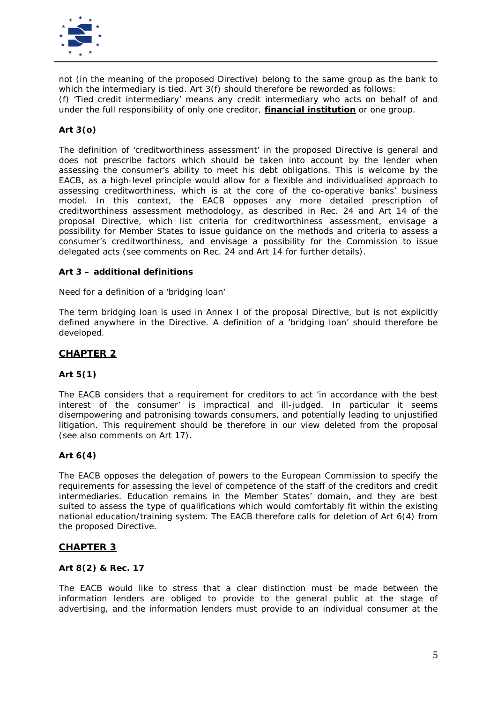

not (in the meaning of the proposed Directive) belong to the same group as the bank to which the intermediary is tied. Art 3(f) should therefore be reworded as follows: *(f) 'Tied credit intermediary' means any credit intermediary who acts on behalf of and under the full responsibility of only one creditor, financial institution or one group.*

# **Art 3(o)**

The definition of 'creditworthiness assessment' in the proposed Directive is general and does not prescribe factors which should be taken into account by the lender when assessing the consumer's ability to meet his debt obligations. This is welcome by the EACB, as a high-level principle would allow for a flexible and individualised approach to assessing creditworthiness, which is at the core of the co-operative banks' business model. In this context, the EACB opposes any more detailed prescription of creditworthiness assessment methodology, as described in Rec. 24 and Art 14 of the proposal Directive, which list criteria for creditworthiness assessment, envisage a possibility for Member States to issue guidance on the methods and criteria to assess a consumer's creditworthiness, and envisage a possibility for the Commission to issue delegated acts (see comments on Rec. 24 and Art 14 for further details).

#### **Art 3 – additional definitions**

#### Need for a definition of a '*bridging loan'*

The term bridging loan is used in Annex I of the proposal Directive, but is not explicitly defined anywhere in the Directive. A definition of a 'bridging loan' should therefore be developed.

# **CHAPTER 2**

# **Art 5(1)**

The EACB considers that a requirement for creditors to act *'in accordance with the best interest of the consumer'* is impractical and ill-judged. In particular it seems disempowering and patronising towards consumers, and potentially leading to unjustified litigation. This requirement should be therefore in our view deleted from the proposal (see also comments on Art 17).

#### **Art 6(4)**

The EACB opposes the delegation of powers to the European Commission to specify the requirements for assessing the level of competence of the staff of the creditors and credit intermediaries. Education remains in the Member States' domain, and they are best suited to assess the type of qualifications which would comfortably fit within the existing national education/training system. The EACB therefore calls for deletion of Art 6(4) from the proposed Directive.

# **CHAPTER 3**

#### **Art 8(2) & Rec. 17**

The EACB would like to stress that a clear distinction must be made between the information lenders are obliged to provide to the general public at the stage of advertising, and the information lenders must provide to an individual consumer at the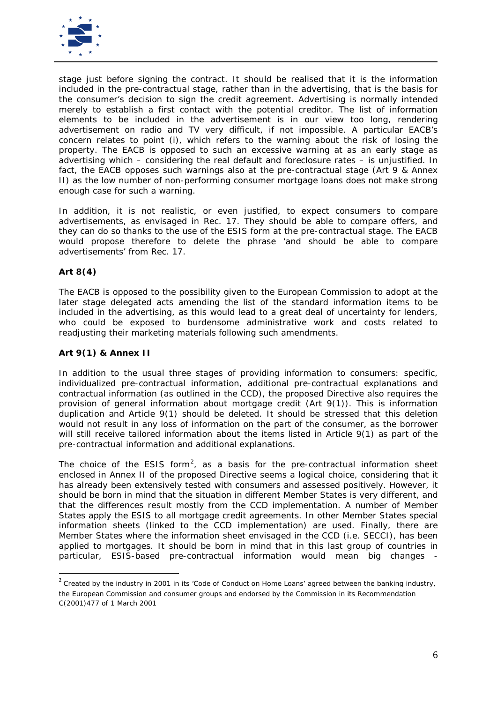

stage just before signing the contract. It should be realised that it is the information included in the pre-contractual stage, rather than in the advertising, that is the basis for the consumer's decision to sign the credit agreement. Advertising is normally intended merely to establish a first contact with the potential creditor. The list of information elements to be included in the advertisement is in our view too long, rendering advertisement on radio and TV very difficult, if not impossible. A particular EACB's concern relates to point (i), which refers to the warning about the risk of losing the property. The EACB is opposed to such an excessive warning at as an early stage as advertising which – considering the real default and foreclosure rates – is unjustified. In fact, the EACB opposes such warnings also at the pre-contractual stage (Art 9 & Annex II) as the low number of non-performing consumer mortgage loans does not make strong enough case for such a warning.

In addition, it is not realistic, or even justified, to expect consumers to compare advertisements, as envisaged in Rec. 17. They should be able to compare offers, and they can do so thanks to the use of the ESIS form at the pre-contractual stage. The EACB would propose therefore to delete the phrase *'and should be able to compare advertisements'* from Rec. 17.

#### **Art 8(4)**

The EACB is opposed to the possibility given to the European Commission to adopt at the later stage delegated acts amending the list of the standard information items to be included in the advertising, as this would lead to a great deal of uncertainty for lenders, who could be exposed to burdensome administrative work and costs related to readjusting their marketing materials following such amendments.

#### **Art 9(1) & Annex II**

In addition to the usual three stages of providing information to consumers: specific, individualized pre-contractual information, additional pre-contractual explanations and contractual information (as outlined in the CCD), the proposed Directive also requires the provision of general information about mortgage credit (Art 9(1)). This is information duplication and Article 9(1) should be deleted. It should be stressed that this deletion would not result in any loss of information on the part of the consumer, as the borrower will still receive tailored information about the items listed in Article 9(1) as part of the pre-contractual information and additional explanations.

The choice of the ESIS form<sup>[2](#page-5-0)</sup>, as a basis for the pre-contractual information sheet enclosed in Annex II of the proposed Directive seems a logical choice, considering that it has already been extensively tested with consumers and assessed positively. However, it should be born in mind that the situation in different Member States is very different, and that the differences result mostly from the CCD implementation. A number of Member States apply the ESIS to all mortgage credit agreements. In other Member States special information sheets (linked to the CCD implementation) are used. Finally, there are Member States where the information sheet envisaged in the CCD (i.e. SECCI), has been applied to mortgages. It should be born in mind that in this last group of countries in particular, ESIS-based pre-contractual information would mean big changes -

<span id="page-5-0"></span><sup>2</sup> Created by the industry in 2001 in its '*Code of Conduct on Home Loans'* agreed between the banking industry, the European Commission and consumer groups and endorsed by the Commission in its Recommendation C(2001)477 of 1 March 2001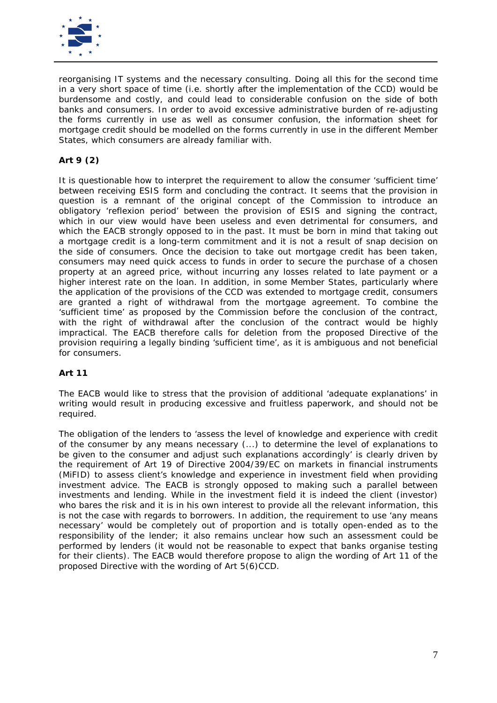

reorganising IT systems and the necessary consulting. Doing all this for the second time in a very short space of time (i.e. shortly after the implementation of the CCD) would be burdensome and costly, and could lead to considerable confusion on the side of both banks and consumers. In order to avoid excessive administrative burden of re-adjusting the forms currently in use as well as consumer confusion, the information sheet for mortgage credit should be modelled on the forms currently in use in the different Member States, which consumers are already familiar with.

# **Art 9 (2)**

It is questionable how to interpret the requirement to allow the consumer *'sufficient time'* between receiving ESIS form and concluding the contract. It seems that the provision in question is a remnant of the original concept of the Commission to introduce an obligatory 'reflexion period' between the provision of ESIS and signing the contract, which in our view would have been useless and even detrimental for consumers, and which the EACB strongly opposed to in the past. It must be born in mind that taking out a mortgage credit is a long-term commitment and it is not a result of snap decision on the side of consumers. Once the decision to take out mortgage credit has been taken, consumers may need quick access to funds in order to secure the purchase of a chosen property at an agreed price, without incurring any losses related to late payment or a higher interest rate on the loan. In addition, in some Member States, particularly where the application of the provisions of the CCD was extended to mortgage credit, consumers are granted a right of withdrawal from the mortgage agreement. To combine the 'sufficient time' as proposed by the Commission before the conclusion of the contract, with the right of withdrawal after the conclusion of the contract would be highly impractical. The EACB therefore calls for deletion from the proposed Directive of the provision requiring a legally binding 'sufficient time', as it is ambiguous and not beneficial for consumers.

# **Art 11**

The EACB would like to stress that the provision of additional 'adequate explanations' in writing would result in producing excessive and fruitless paperwork, and should not be required.

The obligation of the lenders to *'assess the level of knowledge and experience with credit of the consumer by any means necessary (...) to determine the level of explanations to be given to the consumer and adjust such explanations accordingly'* is clearly driven by the requirement of Art 19 of Directive 2004/39/EC on markets in financial instruments (MiFID) to assess client's knowledge and experience in investment field when providing investment advice. The EACB is strongly opposed to making such a parallel between investments and lending. While in the investment field it is indeed the client (investor) who bares the risk and it is in his own interest to provide all the relevant information, this is not the case with regards to borrowers. In addition, the requirement to use 'any means necessary' would be completely out of proportion and is totally open-ended as to the responsibility of the lender; it also remains unclear how such an assessment could be performed by lenders (it would not be reasonable to expect that banks organise testing for their clients). The EACB would therefore propose to align the wording of Art 11 of the proposed Directive with the wording of Art 5(6)CCD.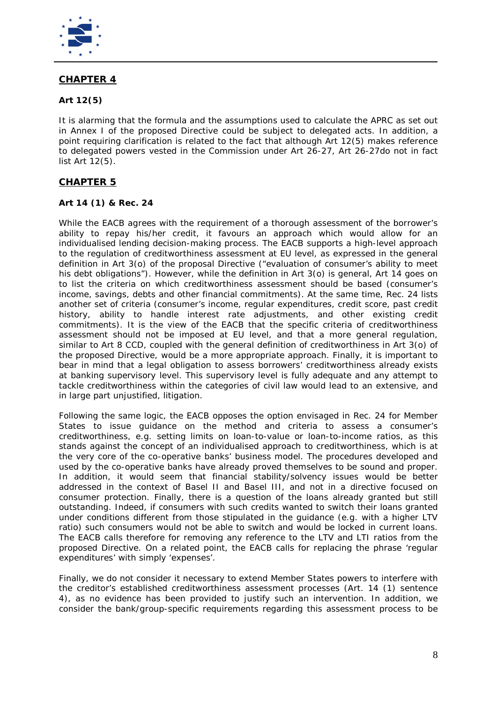

# **CHAPTER 4**

# **Art 12(5)**

It is alarming that the formula and the assumptions used to calculate the APRC as set out in Annex I of the proposed Directive could be subject to delegated acts. In addition, a point requiring clarification is related to the fact that although Art 12(5) makes reference to delegated powers vested in the Commission under Art 26-27, Art 26-27do not in fact list Art 12(5).

# **CHAPTER 5**

#### **Art 14 (1) & Rec. 24**

While the EACB agrees with the requirement of a thorough assessment of the borrower's ability to repay his/her credit, it favours an approach which would allow for an individualised lending decision-making process. The EACB supports a high-level approach to the regulation of creditworthiness assessment at EU level, as expressed in the general definition in Art 3(o) of the proposal Directive (*"evaluation of consumer's ability to meet his debt obligations"*). However, while the definition in Art 3(o) is general, Art 14 goes on to list the criteria on which creditworthiness assessment should be based (consumer's income, savings, debts and other financial commitments). At the same time, Rec. 24 lists another set of criteria (consumer's income, regular expenditures, credit score, past credit history, ability to handle interest rate adjustments, and other existing credit commitments). It is the view of the EACB that the specific criteria of creditworthiness assessment should not be imposed at EU level, and that a more general regulation, similar to Art 8 CCD, coupled with the general definition of creditworthiness in Art 3(o) of the proposed Directive, would be a more appropriate approach. Finally, it is important to bear in mind that a legal obligation to assess borrowers' creditworthiness already exists at banking supervisory level. This supervisory level is fully adequate and any attempt to tackle creditworthiness within the categories of civil law would lead to an extensive, and in large part unjustified, litigation.

Following the same logic, the EACB opposes the option envisaged in Rec. 24 for Member States to issue guidance on the method and criteria to assess a consumer's creditworthiness, e.g. setting limits on loan-to-value or loan-to-income ratios, as this stands against the concept of an individualised approach to creditworthiness, which is at the very core of the co-operative banks' business model. The procedures developed and used by the co-operative banks have already proved themselves to be sound and proper. In addition, it would seem that financial stability/solvency issues would be better addressed in the context of Basel II and Basel III, and not in a directive focused on consumer protection. Finally, there is a question of the loans already granted but still outstanding. Indeed, if consumers with such credits wanted to switch their loans granted under conditions different from those stipulated in the guidance (e.g. with a higher LTV ratio) such consumers would not be able to switch and would be locked in current loans. The EACB calls therefore for removing any reference to the LTV and LTI ratios from the proposed Directive. On a related point, the EACB calls for replacing the phrase *'regular expenditures'* with simply *'expenses'*.

Finally, we do not consider it necessary to extend Member States powers to interfere with the creditor's established creditworthiness assessment processes (Art. 14 (1) sentence 4), as no evidence has been provided to justify such an intervention. In addition, we consider the bank/group-specific requirements regarding this assessment process to be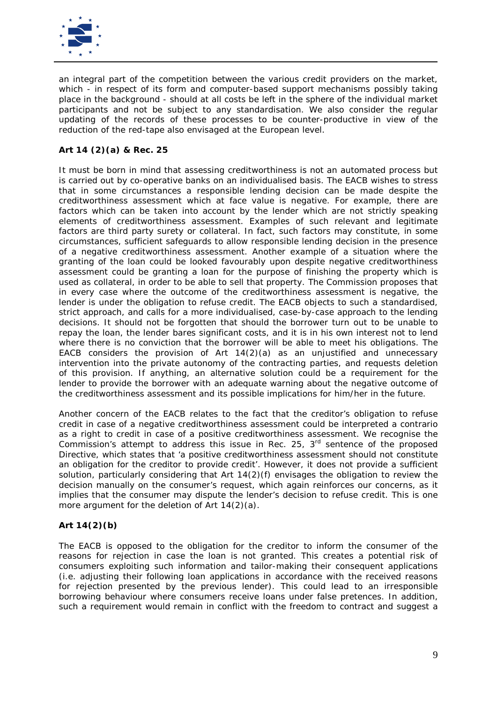

an integral part of the competition between the various credit providers on the market, which - in respect of its form and computer-based support mechanisms possibly taking place in the background - should at all costs be left in the sphere of the individual market participants and not be subject to any standardisation. We also consider the regular updating of the records of these processes to be counter-productive in view of the reduction of the red-tape also envisaged at the European level.

# **Art 14 (2)(a) & Rec. 25**

It must be born in mind that assessing creditworthiness is not an automated process but is carried out by co-operative banks on an individualised basis. The EACB wishes to stress that in some circumstances a responsible lending decision can be made despite the creditworthiness assessment which at face value is negative. For example, there are factors which can be taken into account by the lender which are not strictly speaking elements of creditworthiness assessment. Examples of such relevant and legitimate factors are third party surety or collateral. In fact, such factors may constitute, in some circumstances, sufficient safeguards to allow responsible lending decision in the presence of a negative creditworthiness assessment. Another example of a situation where the granting of the loan could be looked favourably upon despite negative creditworthiness assessment could be granting a loan for the purpose of finishing the property which is used as collateral, in order to be able to sell that property. The Commission proposes that in every case where the outcome of the creditworthiness assessment is negative, the lender is under the obligation to refuse credit. The EACB objects to such a standardised, strict approach, and calls for a more individualised, case-by-case approach to the lending decisions. It should not be forgotten that should the borrower turn out to be unable to repay the loan, the lender bares significant costs, and it is in his own interest not to lend where there is no conviction that the borrower will be able to meet his obligations. The EACB considers the provision of Art  $14(2)(a)$  as an unjustified and unnecessary intervention into the private autonomy of the contracting parties, and requests deletion of this provision. If anything, an alternative solution could be a requirement for the lender to provide the borrower with an adequate warning about the negative outcome of the creditworthiness assessment and its possible implications for him/her in the future.

Another concern of the EACB relates to the fact that the creditor's obligation to refuse credit in case of a negative creditworthiness assessment could be interpreted *a contrario* as a right to credit in case of a positive creditworthiness assessment. We recognise the Commission's attempt to address this issue in Rec. 25,  $3<sup>rd</sup>$  sentence of the proposed Directive, which states that 'a *positive creditworthiness assessment should not constitute an obligation for the creditor to provide credit'.* However, it does not provide a sufficient solution, particularly considering that Art 14(2)(f) envisages the obligation to review the decision manually on the consumer's request, which again reinforces our concerns, as it implies that the consumer may dispute the lender's decision to refuse credit. This is one more argument for the deletion of Art 14(2)(a).

# **Art 14(2)(b)**

The EACB is opposed to the obligation for the creditor to inform the consumer of the reasons for rejection in case the loan is not granted. This creates a potential risk of consumers exploiting such information and tailor-making their consequent applications (i.e. adjusting their following loan applications in accordance with the received reasons for rejection presented by the previous lender). This could lead to an irresponsible borrowing behaviour where consumers receive loans under false pretences. In addition, such a requirement would remain in conflict with the freedom to contract and suggest *a*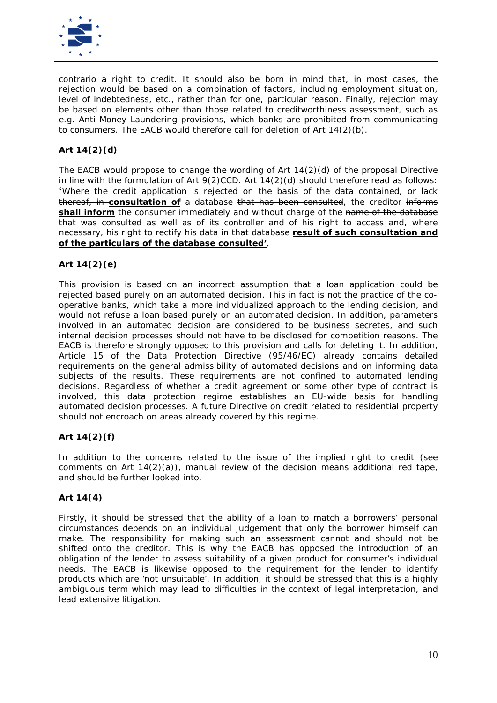

*contrario* a right to credit. It should also be born in mind that, in most cases, the rejection would be based on a combination of factors, including employment situation, level of indebtedness, etc., rather than for one, particular reason. Finally, rejection may be based on elements other than those related to creditworthiness assessment, such as e.g. Anti Money Laundering provisions, which banks are prohibited from communicating to consumers. The EACB would therefore call for deletion of Art 14(2)(b).

# **Art 14(2)(d)**

The EACB would propose to change the wording of Art 14(2)(d) of the proposal Directive in line with the formulation of Art  $9(2)$ CCD. Art  $14(2)(d)$  should therefore read as follows: '*Where the credit application is rejected on the basis of the data contained, or lack thereof, in consultation of a database that has been consulted, the creditor informs shall inform the consumer immediately and without charge of the name of the database that was consulted as well as of its controller and of his right to access and, where necessary, his right to rectify his data in that database result of such consultation and of the particulars of the database consulted'*.

# **Art 14(2)(e)**

This provision is based on an incorrect assumption that a loan application could be rejected based purely on an automated decision. This in fact is not the practice of the cooperative banks, which take a more individualized approach to the lending decision, and would not refuse a loan based purely on an automated decision. In addition, parameters involved in an automated decision are considered to be business secretes, and such internal decision processes should not have to be disclosed for competition reasons. The EACB is therefore strongly opposed to this provision and calls for deleting it. In addition, Article 15 of the Data Protection Directive (95/46/EC) already contains detailed requirements on the general admissibility of automated decisions and on informing data subjects of the results. These requirements are not confined to automated lending decisions. Regardless of whether a credit agreement or some other type of contract is involved, this data protection regime establishes an EU-wide basis for handling automated decision processes. A future Directive on credit related to residential property should not encroach on areas already covered by this regime.

# **Art 14(2)(f)**

In addition to the concerns related to the issue of the implied right to credit (see comments on Art  $14(2)(a)$ , manual review of the decision means additional red tape, and should be further looked into.

#### **Art 14(4)**

Firstly, it should be stressed that the ability of a loan to match a borrowers' personal circumstances depends on an individual judgement that only the borrower himself can make. The responsibility for making such an assessment cannot and should not be shifted onto the creditor. This is why the EACB has opposed the introduction of an obligation of the lender to assess suitability of a given product for consumer's individual needs. The EACB is likewise opposed to the requirement for the lender to identify products which are 'not unsuitable'. In addition, it should be stressed that this is a highly ambiguous term which may lead to difficulties in the context of legal interpretation, and lead extensive litigation.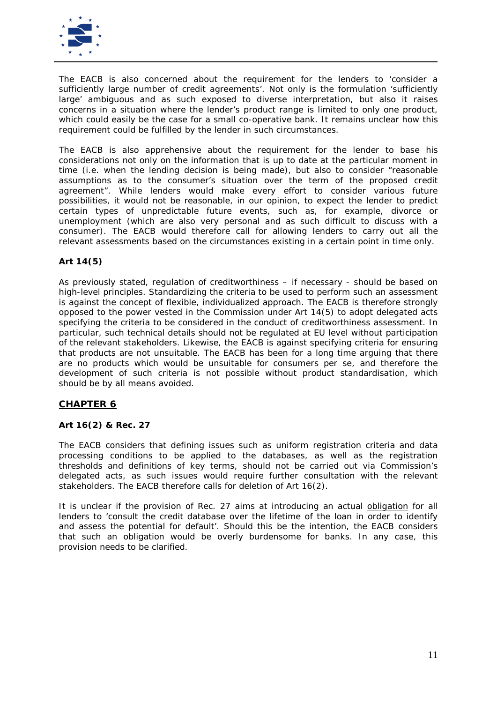

The EACB is also concerned about the requirement for the lenders to *'consider a sufficiently large number of credit agreements'.* Not only is the formulation '*sufficiently large'* ambiguous and as such exposed to diverse interpretation, but also it raises concerns in a situation where the lender's product range is limited to only one product, which could easily be the case for a small co-operative bank. It remains unclear how this requirement could be fulfilled by the lender in such circumstances.

The EACB is also apprehensive about the requirement for the lender to base his considerations not only on the information that is up to date at the particular moment in time (i.e. when the lending decision is being made), but also to consider *"reasonable assumptions as to the consumer's situation over the term of the proposed credit agreement".* While lenders would make every effort to consider various future possibilities, it would not be reasonable, in our opinion, to expect the lender to predict certain types of unpredictable future events, such as, for example, divorce or unemployment (which are also very personal and as such difficult to discuss with a consumer). The EACB would therefore call for allowing lenders to carry out all the relevant assessments based on the circumstances existing in a certain point in time only.

# **Art 14(5)**

As previously stated, regulation of creditworthiness – if necessary - should be based on high-level principles. Standardizing the criteria to be used to perform such an assessment is against the concept of flexible, individualized approach. The EACB is therefore strongly opposed to the power vested in the Commission under Art 14(5) to adopt delegated acts specifying the criteria to be considered in the conduct of creditworthiness assessment. In particular, such technical details should not be regulated at EU level without participation of the relevant stakeholders. Likewise, the EACB is against specifying criteria for ensuring that products are not unsuitable. The EACB has been for a long time arguing that there are no products which would be unsuitable for consumers *per se*, and therefore the development of such criteria is not possible without product standardisation, which should be by all means avoided.

# **CHAPTER 6**

# **Art 16(2) & Rec. 27**

The EACB considers that defining issues such as uniform registration criteria and data processing conditions to be applied to the databases, as well as the registration thresholds and definitions of key terms, should not be carried out via Commission's delegated acts, as such issues would require further consultation with the relevant stakeholders. The EACB therefore calls for deletion of Art 16(2).

It is unclear if the provision of Rec. 27 aims at introducing an actual obligation for all lenders to *'consult the credit database over the lifetime of the loan in order to identify and assess the potential for default'.* Should this be the intention, the EACB considers that such an obligation would be overly burdensome for banks. In any case, this provision needs to be clarified.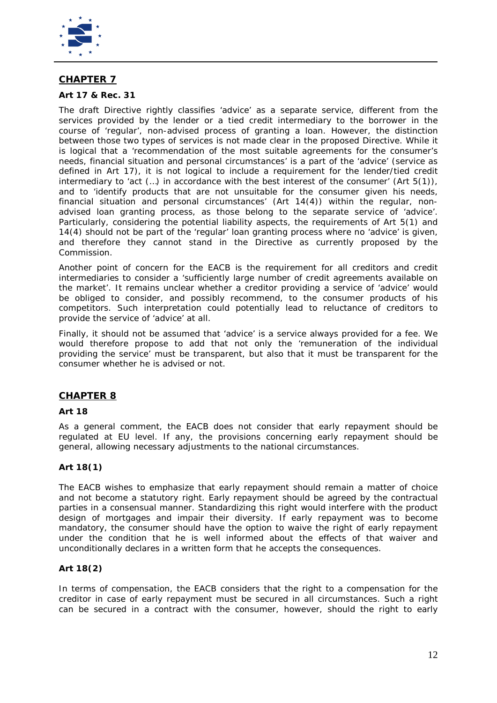

# **CHAPTER 7**

#### **Art 17 & Rec. 31**

The draft Directive rightly classifies 'advice' as a separate service, different from the services provided by the lender or a tied credit intermediary to the borrower in the course of 'regular', non-advised process of granting a loan. However, the distinction between those two types of services is not made clear in the proposed Directive. While it is logical that a *'recommendation of the most suitable agreements for the consumer's needs, financial situation and personal circumstances'* is a part of the 'advice' (service as defined in Art 17), it is not logical to include a requirement for the lender/tied credit intermediary to *'act (…) in accordance with the best interest of the consumer'* (Art 5(1)), and to *'identify products that are not unsuitable for the consumer given his needs, financial situation and personal circumstances'* (Art 14(4)) within the regular, nonadvised loan granting process, as those belong to the separate service of 'advice'. Particularly, considering the potential liability aspects, the requirements of Art 5(1) and 14(4) should not be part of the 'regular' loan granting process where no 'advice' is given, and therefore they cannot stand in the Directive as currently proposed by the Commission.

Another point of concern for the EACB is the requirement for all creditors and credit intermediaries to consider a *'sufficiently large number of credit agreements available on the market'*. It remains unclear whether a creditor providing a service of 'advice' would be obliged to consider, and possibly recommend, to the consumer products of his competitors. Such interpretation could potentially lead to reluctance of creditors to provide the service of 'advice' at all.

Finally, it should not be assumed that 'advice' is a service always provided for a fee. We would therefore propose to add that not only the *'remuneration of the individual providing the service'* must be transparent, but also that it must be transparent for the consumer whether he is advised or not.

# **CHAPTER 8**

#### **Art 18**

As a general comment, the EACB does not consider that early repayment should be regulated at EU level. If any, the provisions concerning early repayment should be general, allowing necessary adjustments to the national circumstances.

# **Art 18(1)**

The EACB wishes to emphasize that early repayment should remain a matter of choice and not become a statutory right. Early repayment should be agreed by the contractual parties in a consensual manner. Standardizing this right would interfere with the product design of mortgages and impair their diversity. If early repayment was to become mandatory, the consumer should have the option to waive the right of early repayment under the condition that he is well informed about the effects of that waiver and unconditionally declares in a written form that he accepts the consequences.

#### **Art 18(2)**

In terms of compensation, the EACB considers that the right to a compensation for the creditor in case of early repayment must be secured in all circumstances. Such a right can be secured in a contract with the consumer, however, should the right to early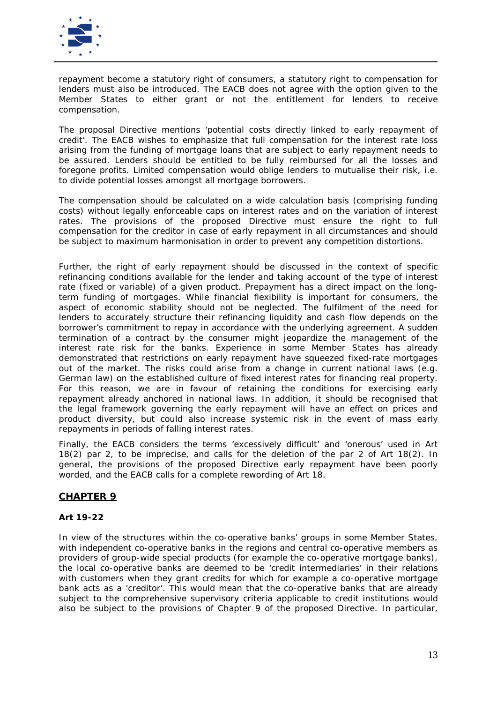

repayment become a statutory right of consumers, a statutory right to compensation for lenders must also be introduced. The EACB does not agree with the option given to the Member States to either grant or not the entitlement for lenders to receive compensation.

The proposal Directive mentions *'potential costs directly linked to early repayment of credit'*. The EACB wishes to emphasize that full compensation for the interest rate loss arising from the funding of mortgage loans that are subject to early repayment needs to be assured. Lenders should be entitled to be fully reimbursed for all the losses and foregone profits. Limited compensation would oblige lenders to mutualise their risk, i.e. to divide potential losses amongst all mortgage borrowers.

The compensation should be calculated on a wide calculation basis (comprising funding costs) without legally enforceable caps on interest rates and on the variation of interest rates. The provisions of the proposed Directive must ensure the right to full compensation for the creditor in case of early repayment in all circumstances and should be subject to maximum harmonisation in order to prevent any competition distortions.

Further, the right of early repayment should be discussed in the context of specific refinancing conditions available for the lender and taking account of the type of interest rate (fixed or variable) of a given product. Prepayment has a direct impact on the longterm funding of mortgages. While financial flexibility is important for consumers, the aspect of economic stability should not be neglected. The fulfilment of the need for lenders to accurately structure their refinancing liquidity and cash flow depends on the borrower's commitment to repay in accordance with the underlying agreement. A sudden termination of a contract by the consumer might jeopardize the management of the interest rate risk for the banks. Experience in some Member States has already demonstrated that restrictions on early repayment have squeezed fixed-rate mortgages out of the market. The risks could arise from a change in current national laws (e.g. German law) on the established culture of fixed interest rates for financing real property. For this reason, we are in favour of retaining the conditions for exercising early repayment already anchored in national laws. In addition, it should be recognised that the legal framework governing the early repayment will have an effect on prices and product diversity, but could also increase systemic risk in the event of mass early repayments in periods of falling interest rates.

Finally, the EACB considers the terms *'excessively difficult'* and *'onerous'* used in Art 18(2) par 2, to be imprecise, and calls for the deletion of the par 2 of Art 18(2). In general, the provisions of the proposed Directive early repayment have been poorly worded, and the EACB calls for a complete rewording of Art 18.

# **CHAPTER 9**

# **Art 19-22**

In view of the structures within the co-operative banks' groups in some Member States, with independent co-operative banks in the regions and central co-operative members as providers of group-wide special products (for example the co-operative mortgage banks), the local co-operative banks are deemed to be 'credit intermediaries' in their relations with customers when they grant credits for which for example a co-operative mortgage bank acts as a 'creditor'. This would mean that the co-operative banks that are already subject to the comprehensive supervisory criteria applicable to credit institutions would also be subject to the provisions of Chapter 9 of the proposed Directive. In particular,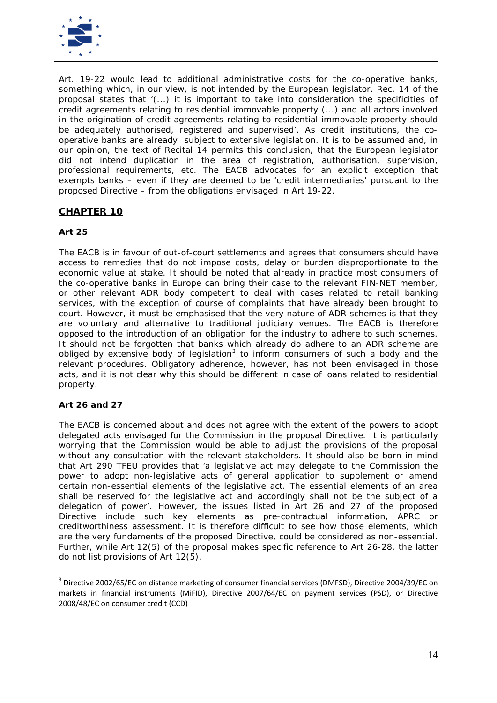

Art. 19-22 would lead to additional administrative costs for the co-operative banks, something which, in our view, is not intended by the European legislator. Rec. 14 of the proposal states that *'(...) it is important to take into consideration the specificities of credit agreements relating to residential immovable property (...) and all actors involved in the origination of credit agreements relating to residential immovable property should be adequately authorised, registered and supervised'.* As credit institutions, the cooperative banks are already subject to extensive legislation. It is to be assumed and, in our opinion, the text of Recital 14 permits this conclusion, that the European legislator did not intend duplication in the area of registration, authorisation, supervision, professional requirements, etc. The EACB advocates for an explicit exception that exempts banks – even if they are deemed to be 'credit intermediaries' pursuant to the proposed Directive – from the obligations envisaged in Art 19-22.

# **CHAPTER 10**

# **Art 25**

The EACB is in favour of out-of-court settlements and agrees that consumers should have access to remedies that do not impose costs, delay or burden disproportionate to the economic value at stake. It should be noted that already in practice most consumers of the co-operative banks in Europe can bring their case to the relevant FIN-NET member, or other relevant ADR body competent to deal with cases related to retail banking services, with the exception of course of complaints that have already been brought to court. However, it must be emphasised that the very nature of ADR schemes is that they are voluntary and alternative to traditional judiciary venues. The EACB is therefore opposed to the introduction of an obligation for the industry to adhere to such schemes. It should not be forgotten that banks which already do adhere to an ADR scheme are obliged by extensive body of legislation<sup>[3](#page-13-0)</sup> to inform consumers of such a body and the relevant procedures. Obligatory adherence, however, has not been envisaged in those acts, and it is not clear why this should be different in case of loans related to residential property.

# **Art 26 and 27**

The EACB is concerned about and does not agree with the extent of the powers to adopt delegated acts envisaged for the Commission in the proposal Directive. It is particularly worrying that the Commission would be able to adjust the provisions of the proposal without any consultation with the relevant stakeholders. It should also be born in mind that Art 290 TFEU provides that *'a legislative act may delegate to the Commission the power to adopt non-legislative acts of general application to supplement or amend certain non-essential elements of the legislative act. The essential elements of an area shall be reserved for the legislative act and accordingly shall not be the subject of a delegation of power'.* However, the issues listed in Art 26 and 27 of the proposed Directive include such key elements as pre-contractual information, APRC or creditworthiness assessment. It is therefore difficult to see how those elements, which are the very fundaments of the proposed Directive, could be considered as non-essential. Further, while Art 12(5) of the proposal makes specific reference to Art 26-28, the latter do not list provisions of Art 12(5).

<span id="page-13-0"></span><sup>3</sup> Directive 2002/65/EC on distance marketing of consumer financial services (DMFSD), Directive 2004/39/EC on markets in financial instruments (MiFID), Directive 2007/64/EC on payment services (PSD), or Directive 2008/48/EC on consumer credit (CCD)